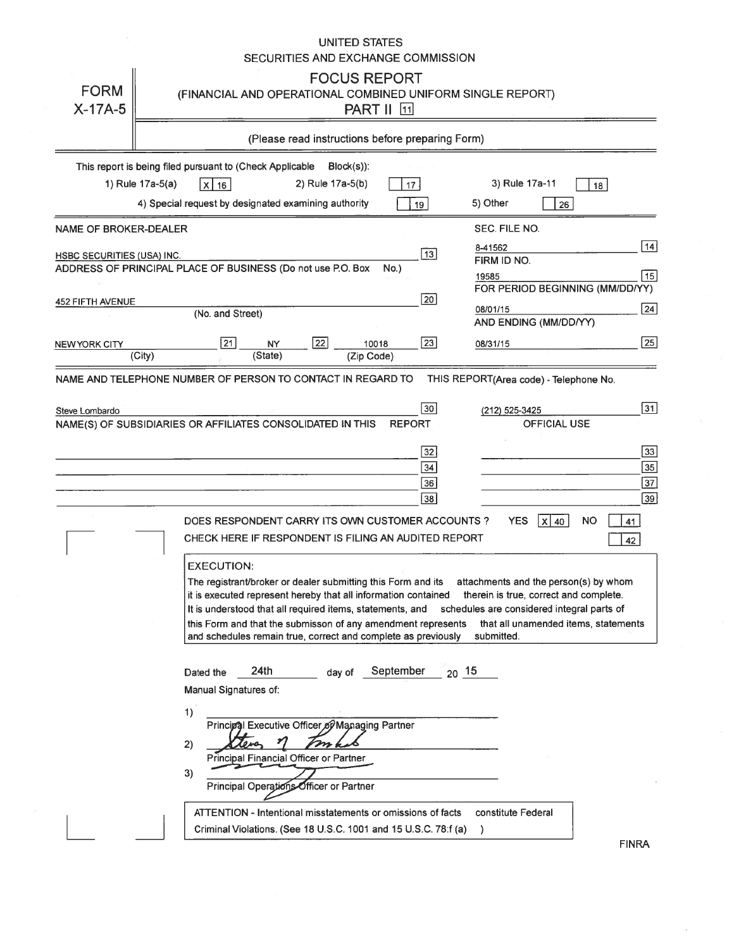## UNITED STATES SECURITIES AND EXCHANGE COMMISSION

| <b>FORM</b><br>$X-17A-5$                       | <b>FOCUS REPORT</b><br>(FINANCIAL AND OPERATIONAL COMBINED UNIFORM SINGLE REPORT)<br><b>PART II</b> 11                                                                                                                                                                                                                                                                                                                                                                                                                                                                                                                                                                                                                                                                          |
|------------------------------------------------|---------------------------------------------------------------------------------------------------------------------------------------------------------------------------------------------------------------------------------------------------------------------------------------------------------------------------------------------------------------------------------------------------------------------------------------------------------------------------------------------------------------------------------------------------------------------------------------------------------------------------------------------------------------------------------------------------------------------------------------------------------------------------------|
|                                                | (Please read instructions before preparing Form)                                                                                                                                                                                                                                                                                                                                                                                                                                                                                                                                                                                                                                                                                                                                |
|                                                | This report is being filed pursuant to (Check Applicable<br>$Block(s)$ :<br>1) Rule 17a-5(a)<br>2) Rule 17a-5(b)<br>3) Rule 17a-11<br>  X   16  <br>17<br>18<br>4) Special request by designated examining authority<br>5) Other<br>19<br>26                                                                                                                                                                                                                                                                                                                                                                                                                                                                                                                                    |
| <b>NAME OF BROKER-DEALER</b>                   | SEC. FILE NO.<br> 14                                                                                                                                                                                                                                                                                                                                                                                                                                                                                                                                                                                                                                                                                                                                                            |
| HSBC SECURITIES (USA) INC.<br>452 FIFTH AVENUE | 8-41562<br>$\overline{13}$<br>FIRM ID NO.<br>ADDRESS OF PRINCIPAL PLACE OF BUSINESS (Do not use P.O. Box<br>No.)<br>15<br>19585<br>FOR PERIOD BEGINNING (MM/DD/YY)<br>20<br> 24 <br>08/01/15<br>(No. and Street)<br>AND ENDING (MM/DD/YY)                                                                                                                                                                                                                                                                                                                                                                                                                                                                                                                                       |
| NEW YORK CITY                                  | 23<br> 25 <br> 21 <br>22<br>10018<br><b>NY</b><br>08/31/15<br>(State)<br>(City)<br>(Zip Code)                                                                                                                                                                                                                                                                                                                                                                                                                                                                                                                                                                                                                                                                                   |
| Steve Lombardo                                 | $\sqrt{31}$<br>$\overline{30}$<br>(212) 525-3425<br><b>REPORT</b><br><b>OFFICIAL USE</b><br>NAME(S) OF SUBSIDIARIES OR AFFILIATES CONSOLIDATED IN THIS<br>$\sqrt{33}$<br> 32 <br>$\sqrt{35}$<br>34<br>$\overline{37}$<br>36<br>$\overline{39}$<br> 38 <br>DOES RESPONDENT CARRY ITS OWN CUSTOMER ACCOUNTS?<br><b>YES</b><br>$x$ 40<br><b>NO</b><br>41<br>CHECK HERE IF RESPONDENT IS FILING AN AUDITED REPORT<br>42                                                                                                                                                                                                                                                                                                                                                             |
|                                                | <b>EXECUTION:</b><br>The registrant/broker or dealer submitting this Form and its<br>attachments and the person(s) by whom<br>it is executed represent hereby that all information contained<br>therein is true, correct and complete.<br>It is understood that all required items, statements, and schedules are considered integral parts of<br>this Form and that the submisson of any amendment represents<br>that all unamended items, statements<br>and schedules remain true, correct and complete as previously<br>submitted.<br>24th<br>September<br>$20-15$<br>Dated the<br>day of<br>Manual Signatures of:<br>1)<br>Principal Executive Officer of Managing Partner<br>2)<br>Principal Financial Officer or Partner<br>3)<br>Principal Operations Officer or Partner |
|                                                | constitute Federal<br>ATTENTION - Intentional misstatements or omissions of facts<br>Criminal Violations. (See 18 U.S.C. 1001 and 15 U.S.C. 78:f (a)<br>$\lambda$                                                                                                                                                                                                                                                                                                                                                                                                                                                                                                                                                                                                               |

 ${\sf FINRA}$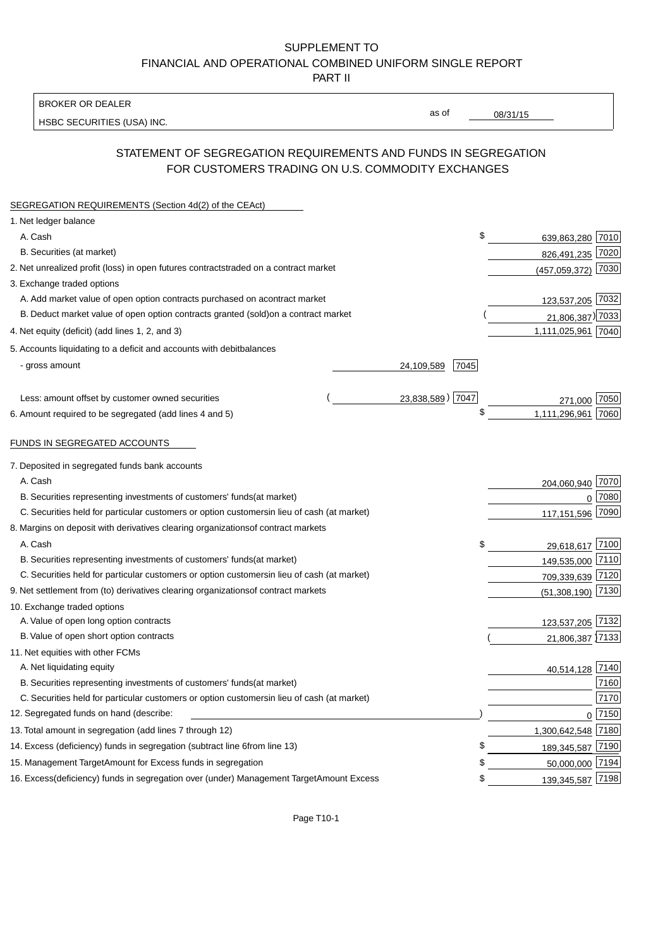BROKER OR DEALER

HSBC SECURITIES (USA) INC.

08/31/15

as of

## STATEMENT OF SEGREGATION REQUIREMENTS AND FUNDS IN SEGREGATION FOR CUSTOMERS TRADING ON U.S. COMMODITY EXCHANGES

| SEGREGATION REQUIREMENTS (Section 4d(2) of the CEAct)                                          |                    |                     |          |
|------------------------------------------------------------------------------------------------|--------------------|---------------------|----------|
| 1. Net ledger balance                                                                          |                    |                     |          |
| A. Cash                                                                                        | \$                 | 639,863,280 7010    |          |
| B. Securities (at market)                                                                      |                    | 826,491,235 7020    |          |
| 2. Net unrealized profit (loss) in open futures contracts<br>traded on a contract market       |                    | (457, 059, 372)     | 7030     |
| 3. Exchange traded options                                                                     |                    |                     |          |
| A. Add market value of open option contracts purchased on a<br>contract market                 |                    | 123,537,205 7032    |          |
| B. Deduct market value of open option contracts granted (sold)<br>on a contract market         |                    | 21,806,387) 7033    |          |
| 4. Net equity (deficit) (add lines 1, 2, and 3)                                                |                    | 1,111,025,961 7040  |          |
| 5. Accounts liquidating to a deficit and accounts with debit<br>balances                       |                    |                     |          |
| - gross amount                                                                                 | 7045<br>24,109,589 |                     |          |
|                                                                                                |                    |                     |          |
| Less: amount offset by customer owned securities                                               | 23,838,589) 7047   | 271,000             | 7050     |
| 6. Amount required to be segregated (add lines 4 and 5)                                        | \$                 | 1,111,296,961 7060  |          |
|                                                                                                |                    |                     |          |
| FUNDS IN SEGREGATED ACCOUNTS                                                                   |                    |                     |          |
| 7. Deposited in segregated funds bank accounts                                                 |                    |                     |          |
| A. Cash                                                                                        |                    | 204,060,940 7070    |          |
| B. Securities representing investments of customers' funds<br>(at market)                      |                    | $\mathbf 0$         | 7080     |
| C. Securities held for particular customers or option customers<br>in lieu of cash (at market) |                    | 117,151,596         | 7090     |
| 8. Margins on deposit with derivatives clearing organizations<br>of contract markets           |                    |                     |          |
| A. Cash                                                                                        | \$                 | 29,618,617 7100     |          |
| B. Securities representing investments of customers' funds<br>(at market)                      |                    | 149,535,000 7110    |          |
| C. Securities held for particular customers or option customers<br>in lieu of cash (at market) |                    | 709,339,639 7120    |          |
| 9. Net settlement from (to) derivatives clearing organizations<br>of contract markets          |                    | $(51,308,190)$ 7130 |          |
| 10. Exchange traded options                                                                    |                    |                     |          |
| A. Value of open long option contracts                                                         |                    | 123,537,205 7132    |          |
| B. Value of open short option contracts                                                        |                    | 21,806,387 7133     |          |
| 11. Net equities with other FCMs                                                               |                    |                     |          |
| A. Net liquidating equity                                                                      |                    | 40,514,128 7140     |          |
| B. Securities representing investments of customers' funds<br>(at market)                      |                    |                     | 7160     |
| C. Securities held for particular customers or option customers<br>in lieu of cash (at market) |                    |                     | 7170     |
| 12. Segregated funds on hand (describe:                                                        |                    |                     | $0$ 7150 |
| 13. Total amount in segregation (add lines 7 through 12)                                       |                    | 1,300,642,548 7180  |          |
| 14. Excess (deficiency) funds in segregation (subtract line 6 from line 13)                    | \$                 | 189,345,587 7190    |          |
| 15. Management Target Amount for Excess funds in segregation                                   | \$                 | 50,000,000 7194     |          |
| 16. Excess (deficiency) funds in segregation over (under) Management Target Amount Excess      | \$                 | 139,345,587 7198    |          |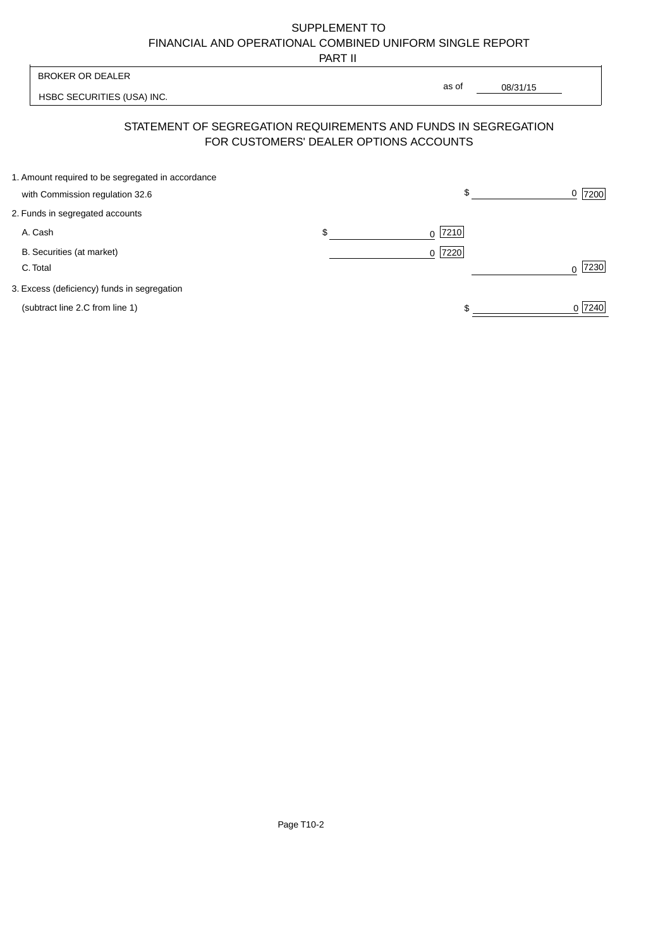PART II

 $\overline{\phantom{a}}$ 

| <b>BROKER OR DEALER</b>                                                                                  | as of             |          |                  |
|----------------------------------------------------------------------------------------------------------|-------------------|----------|------------------|
| HSBC SECURITIES (USA) INC.                                                                               |                   | 08/31/15 |                  |
| STATEMENT OF SEGREGATION REQUIREMENTS AND FUNDS IN SEGREGATION<br>FOR CUSTOMERS' DEALER OPTIONS ACCOUNTS |                   |          |                  |
| 1. Amount required to be segregated in accordance<br>with Commission regulation 32.6                     | \$                |          | 7200<br>0        |
| 2. Funds in segregated accounts                                                                          |                   |          |                  |
| A. Cash                                                                                                  | \$<br> 7210 <br>0 |          |                  |
| B. Securities (at market)<br>C. Total                                                                    | 7220<br>0         |          | 7230<br>$\Omega$ |
| 3. Excess (deficiency) funds in segregation                                                              |                   |          |                  |
| (subtract line 2.C from line 1)                                                                          |                   |          | 0 7240           |

 $\overline{1}$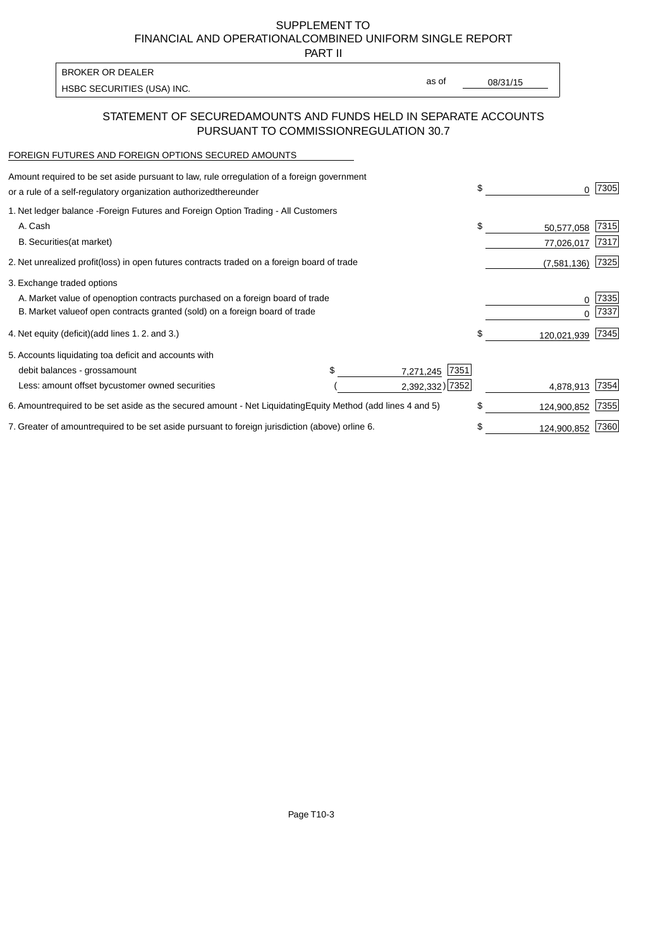PART II

HSBC SECURITIES (USA) INC. The state of the second second in the second second second second second second second second second second second second second second second second second second second second second second sec

as of

#### STATEMENT OF SECURED AMOUNTS AND FUNDS HELD IN SEPARATE ACCOUNTS PURSUANT TO COMMISSION REGULATION 30.7

#### FOREIGN FUTURES AND FOREIGN OPTIONS SECURED AMOUNTS

BROKER OR DEALER

| Amount required to be set aside pursuant to law, rule or<br>regulation of a foreign government<br>or a rule of a self-regulatory organization authorized<br>thereunder |                                   | \$<br>0           | 7305         |
|------------------------------------------------------------------------------------------------------------------------------------------------------------------------|-----------------------------------|-------------------|--------------|
| 1. Net ledger balance - Foreign Futures and Foreign Option Trading - All Customers<br>A. Cash                                                                          |                                   | \$<br>50,577,058  | 7315         |
| <b>B.</b> Securities<br>(at market)                                                                                                                                    |                                   | 77,026,017        | 7317         |
| 2. Net unrealized profit (loss) in open futures contracts traded on a foreign board of trade                                                                           |                                   | (7,581,136)       | 7325         |
| 3. Exchange traded options                                                                                                                                             |                                   |                   |              |
| A. Market value of open option contracts purchased on a foreign board of trade<br>B. Market value of open contracts granted (sold) on a foreign board of trade         |                                   | 0<br><sup>0</sup> | 7335<br>7337 |
| 4. Net equity (deficit) (add lines 1.2. and 3.)                                                                                                                        |                                   | \$<br>120,021,939 | 7345         |
| 5. Accounts liquidating to a deficit and accounts with                                                                                                                 |                                   |                   |              |
| debit balances - gross<br>amount                                                                                                                                       | 7351<br>7,271,245                 |                   |              |
| Less: amount offset by customer owned securities                                                                                                                       | 2,392,332) 7352                   | 4,878,913         | 7354         |
| 6. Amount required to be set aside as the secured amount - Net Liquidating                                                                                             | Equity Method (add lines 4 and 5) | \$<br>124,900,852 | 7355         |
| 7. Greater of amount required to be set aside pursuant to foreign jurisdiction (above) or line 6.                                                                      |                                   | \$<br>124,900,852 | 7360         |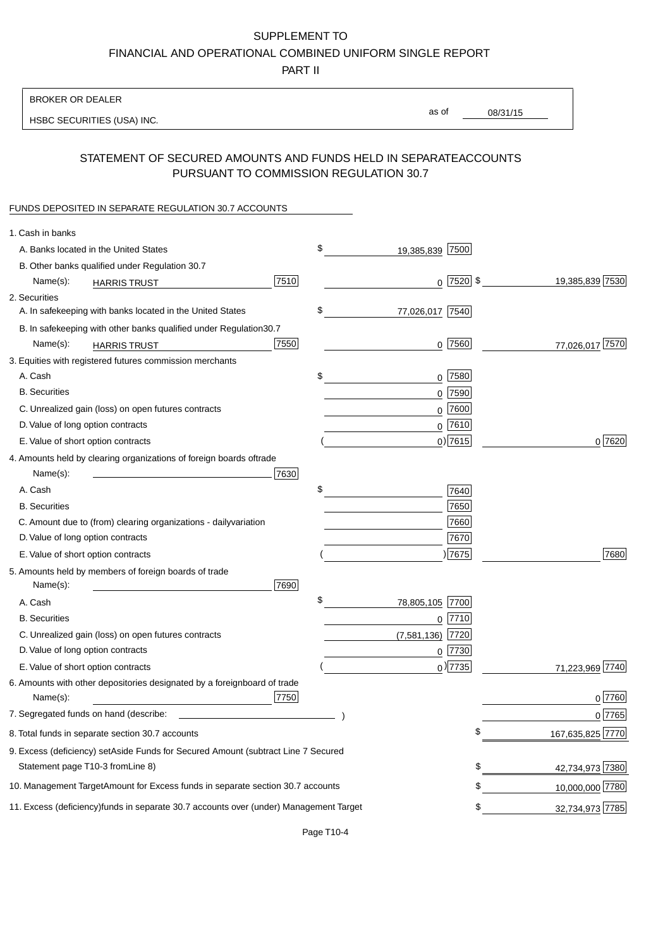PART II

| <b>BROKER OR DEALER</b>                                                                           |                       |                 |                 |                  |
|---------------------------------------------------------------------------------------------------|-----------------------|-----------------|-----------------|------------------|
| HSBC SECURITIES (USA) INC.                                                                        | as of                 |                 | 08/31/15        |                  |
|                                                                                                   |                       |                 |                 |                  |
| STATEMENT OF SECURED AMOUNTS AND FUNDS HELD IN SEPARATE<br>PURSUANT TO COMMISSION REGULATION 30.7 |                       |                 | <b>ACCOUNTS</b> |                  |
| FUNDS DEPOSITED IN SEPARATE REGULATION 30.7 ACCOUNTS                                              |                       |                 |                 |                  |
| 1. Cash in banks                                                                                  |                       |                 |                 |                  |
| A. Banks located in the United States                                                             | \$<br>19,385,839 7500 |                 |                 |                  |
| B. Other banks qualified under Regulation 30.7                                                    |                       |                 |                 |                  |
| 7510<br>Name(s):<br><b>HARRIS TRUST</b>                                                           |                       | $0$   7520   \$ |                 | 19,385,839 7530  |
| 2. Securities                                                                                     |                       |                 |                 |                  |
| A. In safekeeping with banks located in the United States                                         | \$<br>77,026,017 7540 |                 |                 |                  |
| B. In safekeeping with other banks qualified under Regulation<br>30.7                             |                       |                 |                 |                  |
| 7550<br>Name(s):<br><b>HARRIS TRUST</b>                                                           |                       | $0$ 7560        |                 | 77,026,017 7570  |
| 3. Equities with registered futures commission merchants                                          |                       |                 |                 |                  |
| A. Cash                                                                                           | \$                    | $0$ 7580        |                 |                  |
| <b>B.</b> Securities                                                                              |                       | $0$ 7590        |                 |                  |
| C. Unrealized gain (loss) on open futures contracts                                               |                       | $0$ 7600        |                 |                  |
| D. Value of long option contracts                                                                 |                       | $0$ 7610        |                 |                  |
| E. Value of short option contracts                                                                |                       | $0)$ 7615       |                 | 0 7620           |
| 4. Amounts held by clearing organizations of foreign boards of<br>trade                           |                       |                 |                 |                  |
| Name(s):<br>7630                                                                                  |                       |                 |                 |                  |
| A. Cash                                                                                           | \$                    | 7640            |                 |                  |
| <b>B.</b> Securities                                                                              |                       | 7650            |                 |                  |
| C. Amount due to (from) clearing organizations - daily<br>variation                               |                       | 7660            |                 |                  |
| D. Value of long option contracts                                                                 |                       | 7670            |                 |                  |
| E. Value of short option contracts                                                                |                       | ) 7675          |                 | 7680             |
| 5. Amounts held by members of foreign boards of trade<br>Name(s):<br>7690                         |                       |                 |                 |                  |
| A. Cash                                                                                           | \$<br>78,805,105 7700 |                 |                 |                  |
| <b>B.</b> Securities                                                                              |                       | $0$  7710       |                 |                  |
| C. Unrealized gain (loss) on open futures contracts                                               | $(7,581,136)$ 7720    |                 |                 |                  |
| D. Value of long option contracts                                                                 |                       | $0$  7730       |                 |                  |
| E. Value of short option contracts                                                                |                       | $_0$ ) 7735     |                 | 71,223,969 7740  |
| 6. Amounts with other depositories designated by a foreign<br>board of trade<br>7750<br>Name(s):  |                       |                 |                 | 0 7760           |
| 7. Segregated funds on hand (describe:                                                            |                       |                 |                 | $0$ 7765         |
| 8. Total funds in separate section 30.7 accounts                                                  |                       | \$              |                 | 167,635,825 7770 |
| 9. Excess (deficiency) set Aside Funds for Secured Amount (subtract Line 7 Secured                |                       |                 |                 |                  |
| Statement page T10-3 from Line 8)                                                                 |                       |                 | \$              | 42,734,973 7380  |
| 10. Management Target Amount for Excess funds in separate section 30.7 accounts                   |                       |                 | \$              | 10,000,000 7780  |
| 11. Excess (deficiency) funds in separate 30.7 accounts over (under) Management Target            |                       |                 | \$              | 32,734,973 7785  |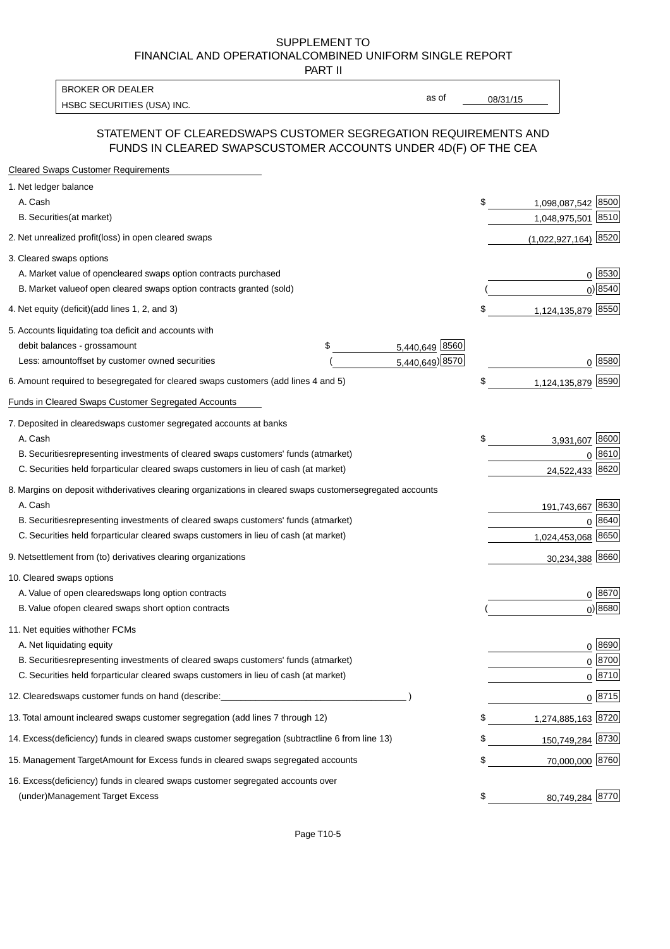PART II

HSBC SECURITIES (USA) INC. The contract of the contract of the contract of the contract of the contract of the contract of the contract of the contract of the contract of the contract of the contract of the contract of the BROKER OR DEALER

as of

#### STATEMENT OF CLEARED SWAPS CUSTOMER SEGREGATION REQUIREMENTS AND FUNDS IN CLEARED SWAPS CUSTOMER ACCOUNTS UNDER 4D(F) OF THE CEA

| <b>Cleared Swaps Customer Requirements</b>                                                                  |                      |                          |
|-------------------------------------------------------------------------------------------------------------|----------------------|--------------------------|
| 1. Net ledger balance                                                                                       |                      |                          |
| A. Cash                                                                                                     |                      | \$<br>1,098,087,542 8500 |
| B. Securities (at market)                                                                                   |                      | 1,048,975,501 8510       |
| 2. Net unrealized profit (loss) in open cleared swaps                                                       |                      | $(1,022,927,164)$ 8520   |
| 3. Cleared swaps options                                                                                    |                      |                          |
| A. Market value of open<br>cleared swaps option contracts purchased                                         |                      | $0^{8530}$               |
| B. Market value of open cleared swaps option contracts granted (sold)                                       |                      | $0)$ 8540                |
| 4. Net equity (deficit) (add lines 1, 2, and 3)                                                             |                      | \$<br>1,124,135,879 8550 |
| 5. Accounts liquidating to a deficit and accounts with                                                      |                      |                          |
| debit balances - gross amount                                                                               | \$<br>5,440,649 8560 |                          |
| Less: amount offset by customer owned securities                                                            | 5,440,649) 8570      | $0^{8580}$               |
| 6. Amount required to be segregated for cleared swaps customers (add lines 4 and 5)                         |                      | \$<br>1,124,135,879 8590 |
| Funds in Cleared Swaps Customer Segregated Accounts                                                         |                      |                          |
| 7. Deposited in cleared swaps customer segregated accounts at banks                                         |                      |                          |
| A. Cash                                                                                                     |                      | \$<br>3,931,607 8600     |
| B. Securities representing investments of cleared swaps customers' funds (at market)                        |                      | 0 8610                   |
| C. Securities held for particular cleared swaps customers in lieu of cash (at market)                       |                      | 24,522,433 8620          |
| 8. Margins on deposit with derivatives clearing organizations in cleared swaps customer segregated accounts |                      |                          |
| A. Cash                                                                                                     |                      | 191,743,667 8630         |
| B. Securities representing investments of cleared swaps customers' funds (at market)                        |                      | $0 \; 8640$              |
| C. Securities held for particular cleared swaps customers in lieu of cash (at market)                       |                      | 1,024,453,068 8650       |
| 9. Net settlement from (to) derivatives clearing organizations                                              |                      | 30,234,388 8660          |
| 10. Cleared swaps options                                                                                   |                      |                          |
| A. Value of open cleared swaps long option contracts                                                        |                      | 0 8670                   |
| B. Value of open cleared swaps short option contracts                                                       |                      | $0$ ) 8680               |
| 11. Net equities with other FCMs                                                                            |                      |                          |
| A. Net liquidating equity                                                                                   |                      | 0 8690                   |
| B. Securities representing investments of cleared swaps customers' funds (at market)                        |                      | $0^{8700}$               |
| C. Securities held for particular cleared swaps customers in lieu of cash (at market)                       |                      | $0 \frac{8710}{ }$       |
| 12. Cleared swaps customer funds on hand (describe:                                                         |                      | $0 \;  8715 $            |
| 13. Total amount in cleared swaps customer segregation (add lines 7 through 12)                             |                      | \$<br>1,274,885,163 8720 |
| 14. Excess (deficiency) funds in cleared swaps customer segregation (subtract line 6 from line 13)          |                      | 150,749,284 8730         |
| 15. Management Target Amount for Excess funds in cleared swaps segregated accounts                          |                      | \$<br>70,000,000 8760    |
| 16. Excess<br>(deficiency) funds in cleared swaps customer segregated accounts over                         |                      |                          |
| <b>Management Target Excess</b><br>(under)                                                                  |                      | \$<br>80,749,284 8770    |